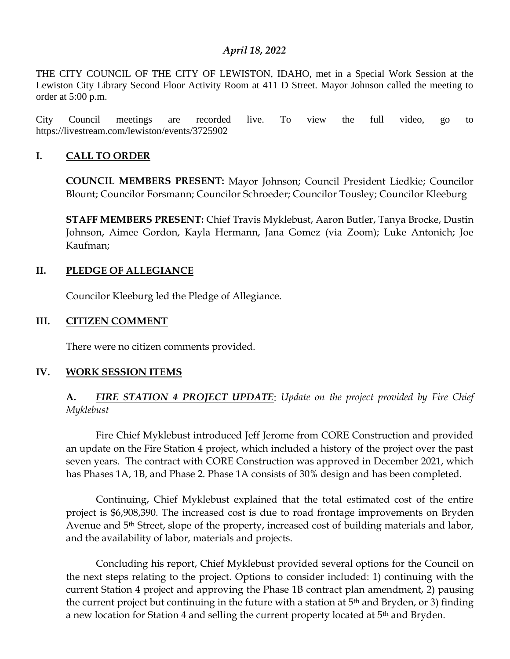#### *April 18, 2022*

THE CITY COUNCIL OF THE CITY OF LEWISTON, IDAHO, met in a Special Work Session at the Lewiston City Library Second Floor Activity Room at 411 D Street. Mayor Johnson called the meeting to order at 5:00 p.m.

City Council meetings are recorded live. To view the full video, go to https://livestream.com/lewiston/events/3725902

#### **I. CALL TO ORDER**

**COUNCIL MEMBERS PRESENT:** Mayor Johnson; Council President Liedkie; Councilor Blount; Councilor Forsmann; Councilor Schroeder; Councilor Tousley; Councilor Kleeburg

**STAFF MEMBERS PRESENT:** Chief Travis Myklebust, Aaron Butler, Tanya Brocke, Dustin Johnson, Aimee Gordon, Kayla Hermann, Jana Gomez (via Zoom); Luke Antonich; Joe Kaufman;

#### **II. PLEDGE OF ALLEGIANCE**

Councilor Kleeburg led the Pledge of Allegiance.

#### **III. CITIZEN COMMENT**

There were no citizen comments provided.

#### **IV. WORK SESSION ITEMS**

## **A.** *FIRE STATION 4 PROJECT UPDATE*: *Update on the project provided by Fire Chief Myklebust*

Fire Chief Myklebust introduced Jeff Jerome from CORE Construction and provided an update on the Fire Station 4 project, which included a history of the project over the past seven years. The contract with CORE Construction was approved in December 2021, which has Phases 1A, 1B, and Phase 2. Phase 1A consists of 30% design and has been completed.

Continuing, Chief Myklebust explained that the total estimated cost of the entire project is \$6,908,390. The increased cost is due to road frontage improvements on Bryden Avenue and 5<sup>th</sup> Street, slope of the property, increased cost of building materials and labor, and the availability of labor, materials and projects.

Concluding his report, Chief Myklebust provided several options for the Council on the next steps relating to the project. Options to consider included: 1) continuing with the current Station 4 project and approving the Phase 1B contract plan amendment, 2) pausing the current project but continuing in the future with a station at 5th and Bryden, or 3) finding a new location for Station 4 and selling the current property located at 5<sup>th</sup> and Bryden.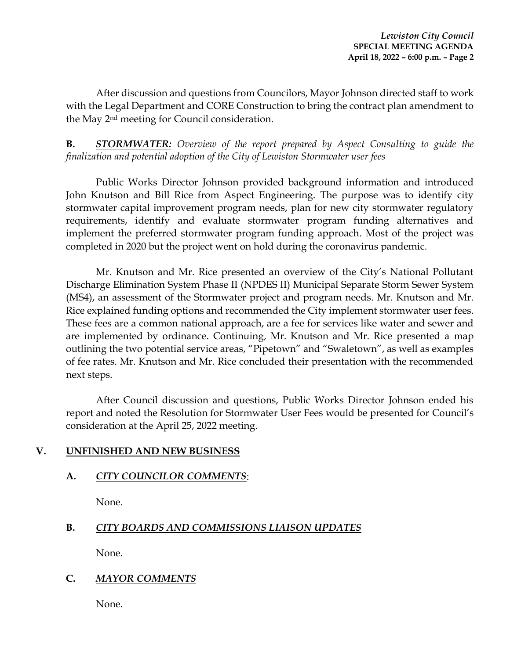After discussion and questions from Councilors, Mayor Johnson directed staff to work with the Legal Department and CORE Construction to bring the contract plan amendment to the May 2nd meeting for Council consideration.

**B.** *STORMWATER: Overview of the report prepared by Aspect Consulting to guide the finalization and potential adoption of the City of Lewiston Stormwater user fees* 

Public Works Director Johnson provided background information and introduced John Knutson and Bill Rice from Aspect Engineering. The purpose was to identify city stormwater capital improvement program needs, plan for new city stormwater regulatory requirements, identify and evaluate stormwater program funding alternatives and implement the preferred stormwater program funding approach. Most of the project was completed in 2020 but the project went on hold during the coronavirus pandemic.

Mr. Knutson and Mr. Rice presented an overview of the City's National Pollutant Discharge Elimination System Phase II (NPDES II) Municipal Separate Storm Sewer System (MS4), an assessment of the Stormwater project and program needs. Mr. Knutson and Mr. Rice explained funding options and recommended the City implement stormwater user fees. These fees are a common national approach, are a fee for services like water and sewer and are implemented by ordinance. Continuing, Mr. Knutson and Mr. Rice presented a map outlining the two potential service areas, "Pipetown" and "Swaletown", as well as examples of fee rates. Mr. Knutson and Mr. Rice concluded their presentation with the recommended next steps.

After Council discussion and questions, Public Works Director Johnson ended his report and noted the Resolution for Stormwater User Fees would be presented for Council's consideration at the April 25, 2022 meeting.

# **V. UNFINISHED AND NEW BUSINESS**

## **A.** *CITY COUNCILOR COMMENTS*:

None.

# **B.** *CITY BOARDS AND COMMISSIONS LIAISON UPDATES*

None.

## **C.** *MAYOR COMMENTS*

None.